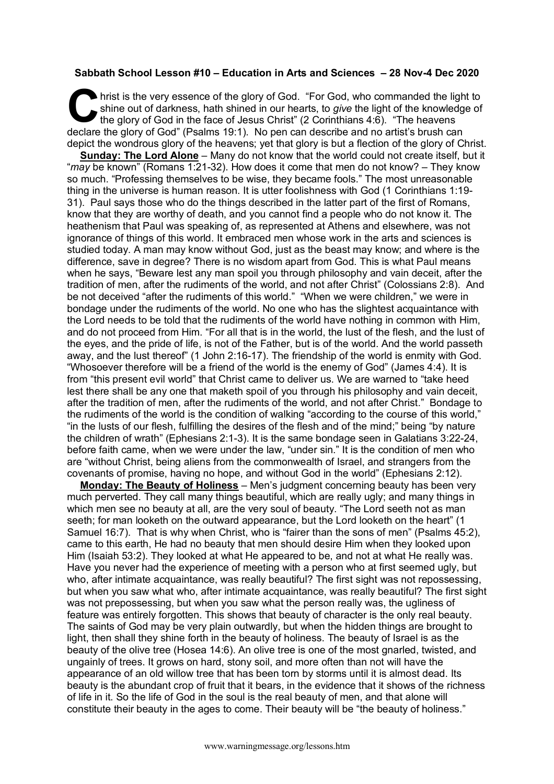## **Sabbath School Lesson #10 – Education in Arts and Sciences – 28 Nov-4 Dec 2020**

hrist is the very essence of the glory of God. "For God, who commanded the light to shine out of darkness, hath shined in our hearts, to *give* the light of the knowledge of the glory of God in the face of Jesus Christ" (2 Corinthians 4:6). "The heavens declare the glory of God" (Psalms 19:1). No pen can describe and no artist's brush can depict the wondrous glory of the heavens; yet that glory is but a flection of the glory of Christ. C hris<br>the

**Sunday: The Lord Alone** – Many do not know that the world could not create itself, but it "*may* be known" (Romans 1:21-32). How does it come that men do not know? – They know so much. "Professing themselves to be wise, they became fools." The most unreasonable thing in the universe is human reason. It is utter foolishness with God (1 Corinthians 1:19- 31). Paul says those who do the things described in the latter part of the first of Romans, know that they are worthy of death, and you cannot find a people who do not know it. The heathenism that Paul was speaking of, as represented at Athens and elsewhere, was not ignorance of things of this world. It embraced men whose work in the arts and sciences is studied today. A man may know without God, just as the beast may know; and where is the difference, save in degree? There is no wisdom apart from God. This is what Paul means when he says, "Beware lest any man spoil you through philosophy and vain deceit, after the tradition of men, after the rudiments of the world, and not after Christ" (Colossians 2:8). And be not deceived "after the rudiments of this world." "When we were children," we were in bondage under the rudiments of the world. No one who has the slightest acquaintance with the Lord needs to be told that the rudiments of the world have nothing in common with Him, and do not proceed from Him. "For all that is in the world, the lust of the flesh, and the lust of the eyes, and the pride of life, is not of the Father, but is of the world. And the world passeth away, and the lust thereof" (1 John 2:16-17). The friendship of the world is enmity with God. "Whosoever therefore will be a friend of the world is the enemy of God" (James 4:4). It is from "this present evil world" that Christ came to deliver us. We are warned to "take heed lest there shall be any one that maketh spoil of you through his philosophy and vain deceit, after the tradition of men, after the rudiments of the world, and not after Christ." Bondage to the rudiments of the world is the condition of walking "according to the course of this world," "in the lusts of our flesh, fulfilling the desires of the flesh and of the mind;" being "by nature the children of wrath" (Ephesians 2:1-3). It is the same bondage seen in Galatians 3:22-24, before faith came, when we were under the law, "under sin." It is the condition of men who are "without Christ, being aliens from the commonwealth of Israel, and strangers from the covenants of promise, having no hope, and without God in the world" (Ephesians 2:12).

**Monday: The Beauty of Holiness** – Men's judgment concerning beauty has been very much perverted. They call many things beautiful, which are really ugly; and many things in which men see no beauty at all, are the very soul of beauty. "The Lord seeth not as man seeth; for man looketh on the outward appearance, but the Lord looketh on the heart" (1 Samuel 16:7). That is why when Christ, who is "fairer than the sons of men" (Psalms 45:2), came to this earth, He had no beauty that men should desire Him when they looked upon Him (Isaiah 53:2). They looked at what He appeared to be, and not at what He really was. Have you never had the experience of meeting with a person who at first seemed ugly, but who, after intimate acquaintance, was really beautiful? The first sight was not repossessing, but when you saw what who, after intimate acquaintance, was really beautiful? The first sight was not prepossessing, but when you saw what the person really was, the ugliness of feature was entirely forgotten. This shows that beauty of character is the only real beauty. The saints of God may be very plain outwardly, but when the hidden things are brought to light, then shall they shine forth in the beauty of holiness. The beauty of Israel is as the beauty of the olive tree (Hosea 14:6). An olive tree is one of the most gnarled, twisted, and ungainly of trees. It grows on hard, stony soil, and more often than not will have the appearance of an old willow tree that has been torn by storms until it is almost dead. Its beauty is the abundant crop of fruit that it bears, in the evidence that it shows of the richness of life in it. So the life of God in the soul is the real beauty of men, and that alone will constitute their beauty in the ages to come. Their beauty will be "the beauty of holiness."